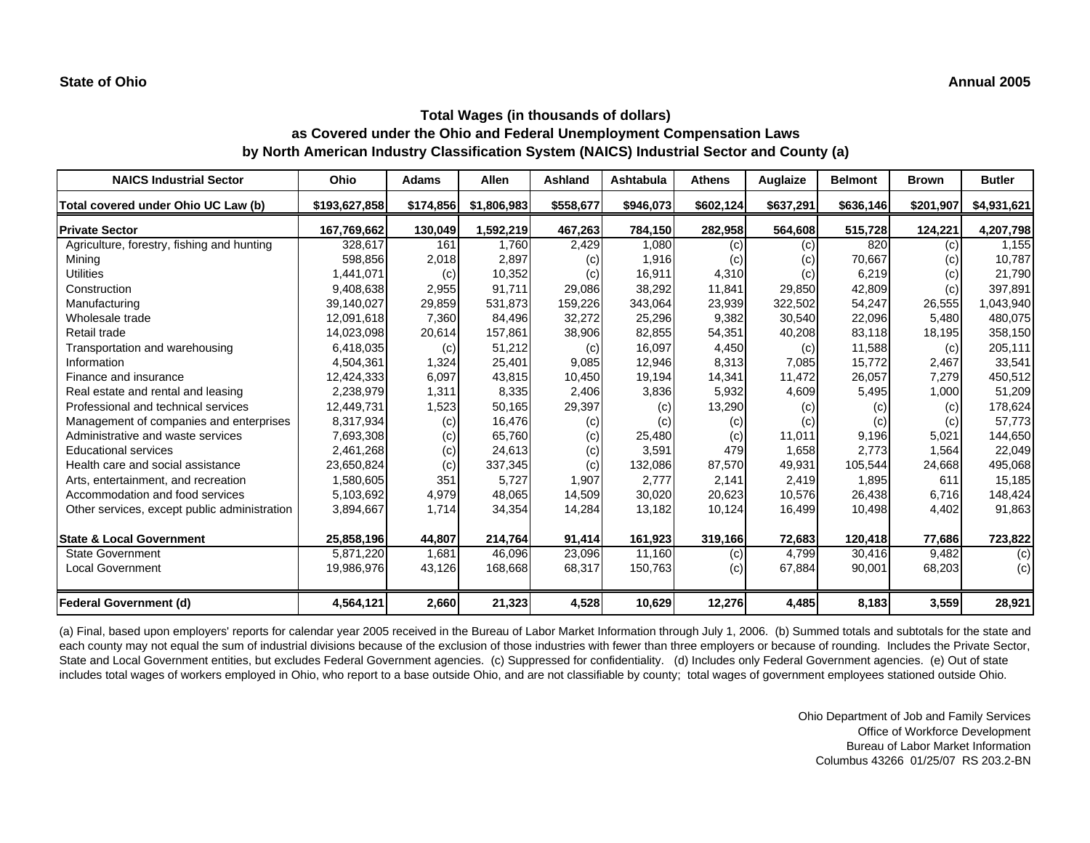| <b>NAICS Industrial Sector</b>               | Ohio          | <b>Adams</b> | <b>Allen</b> | Ashland   | <b>Ashtabula</b> | <b>Athens</b> | Auglaize  | <b>Belmont</b> | <b>Brown</b> | <b>Butler</b> |
|----------------------------------------------|---------------|--------------|--------------|-----------|------------------|---------------|-----------|----------------|--------------|---------------|
| Total covered under Ohio UC Law (b)          | \$193,627,858 | \$174,856    | \$1,806,983  | \$558,677 | \$946,073        | \$602,124     | \$637,291 | \$636,146      | \$201,907    | \$4,931,621   |
| <b>Private Sector</b>                        | 167,769,662   | 130,049      | 1,592,219    | 467,263   | 784,150          | 282,958       | 564,608   | 515,728        | 124,221      | 4,207,798     |
| Agriculture, forestry, fishing and hunting   | 328,617       | 161          | 1,760        | 2,429     | 1,080            | (c)           | (c)       | 820            | (c)          | 1,155         |
| Mining                                       | 598,856       | 2,018        | 2,897        | (c)       | 1,916            | (c)           | (c)       | 70,667         | (c)          | 10,787        |
| <b>Utilities</b>                             | 1,441,071     | (c)          | 10,352       | (c)       | 16,911           | 4,310         | (c)       | 6,219          | (c)          | 21,790        |
| Construction                                 | 9,408,638     | 2,955        | 91,711       | 29,086    | 38,292           | 11,841        | 29,850    | 42,809         | (c)          | 397,891       |
| Manufacturing                                | 39,140,027    | 29,859       | 531,873      | 159,226   | 343,064          | 23,939        | 322,502   | 54,247         | 26,555       | 1,043,940     |
| Wholesale trade                              | 12,091,618    | 7,360        | 84,496       | 32,272    | 25,296           | 9,382         | 30,540    | 22,096         | 5,480        | 480,075       |
| Retail trade                                 | 14,023,098    | 20,614       | 157,861      | 38,906    | 82,855           | 54,351        | 40,208    | 83,118         | 18,195       | 358,150       |
| Transportation and warehousing               | 6,418,035     | (c)          | 51,212       | (c)       | 16,097           | 4,450         | (c)       | 11,588         | (c)          | 205,111       |
| Information                                  | 4,504,361     | 1,324        | 25,401       | 9,085     | 12,946           | 8,313         | 7,085     | 15,772         | 2,467        | 33,541        |
| Finance and insurance                        | 12,424,333    | 6,097        | 43,815       | 10,450    | 19,194           | 14,341        | 11,472    | 26,057         | 7,279        | 450,512       |
| Real estate and rental and leasing           | 2,238,979     | 1,311        | 8,335        | 2,406     | 3,836            | 5,932         | 4,609     | 5,495          | 1,000        | 51,209        |
| Professional and technical services          | 12,449,731    | 1,523        | 50,165       | 29,397    | (c)              | 13,290        | (c)       | (c)            | (c)          | 178,624       |
| Management of companies and enterprises      | 8,317,934     | (c)          | 16,476       | (c)       | (c)              | (c)           | (c)       | (c)            | (c)          | 57,773        |
| Administrative and waste services            | 7,693,308     | (c)          | 65,760       | (c)       | 25,480           | (c)           | 11,011    | 9,196          | 5,021        | 144,650       |
| <b>Educational services</b>                  | 2,461,268     | (c)          | 24,613       | (c)       | 3,591            | 479           | 1,658     | 2,773          | 1,564        | 22,049        |
| Health care and social assistance            | 23,650,824    | (c)          | 337,345      | (c)       | 132,086          | 87,570        | 49,931    | 105,544        | 24,668       | 495,068       |
| Arts, entertainment, and recreation          | 1,580,605     | 351          | 5,727        | 1,907     | 2.777            | 2,141         | 2,419     | 1,895          | 611          | 15,185        |
| Accommodation and food services              | 5,103,692     | 4,979        | 48,065       | 14,509    | 30,020           | 20,623        | 10,576    | 26,438         | 6,716        | 148,424       |
| Other services, except public administration | 3,894,667     | 1,714        | 34,354       | 14,284    | 13,182           | 10,124        | 16,499    | 10,498         | 4,402        | 91,863        |
| <b>State &amp; Local Government</b>          | 25,858,196    | 44,807       | 214,764      | 91,414    | 161,923          | 319,166       | 72,683    | 120,418        | 77,686       | 723,822       |
| <b>State Government</b>                      | 5,871,220     | 1,681        | 46.096       | 23,096    | 11.160           | (c)           | 4,799     | 30.416         | 9.482        | (c)           |
| <b>Local Government</b>                      | 19,986,976    | 43,126       | 168,668      | 68,317    | 150,763          | (c)           | 67,884    | 90,001         | 68,203       | (c)           |
| <b>Federal Government (d)</b>                | 4,564,121     | 2,660        | 21,323       | 4,528     | 10,629           | 12,276        | 4,485     | 8,183          | 3,559        | 28,921        |

(a) Final, based upon employers' reports for calendar year 2005 received in the Bureau of Labor Market Information through July 1, 2006. (b) Summed totals and subtotals for the state and each county may not equal the sum of industrial divisions because of the exclusion of those industries with fewer than three employers or because of rounding. Includes the Private Sector, State and Local Government entities, but excludes Federal Government agencies. (c) Suppressed for confidentiality. (d) Includes only Federal Government agencies. (e) Out of state includes total wages of workers employed in Ohio, who report to a base outside Ohio, and are not classifiable by county; total wages of government employees stationed outside Ohio.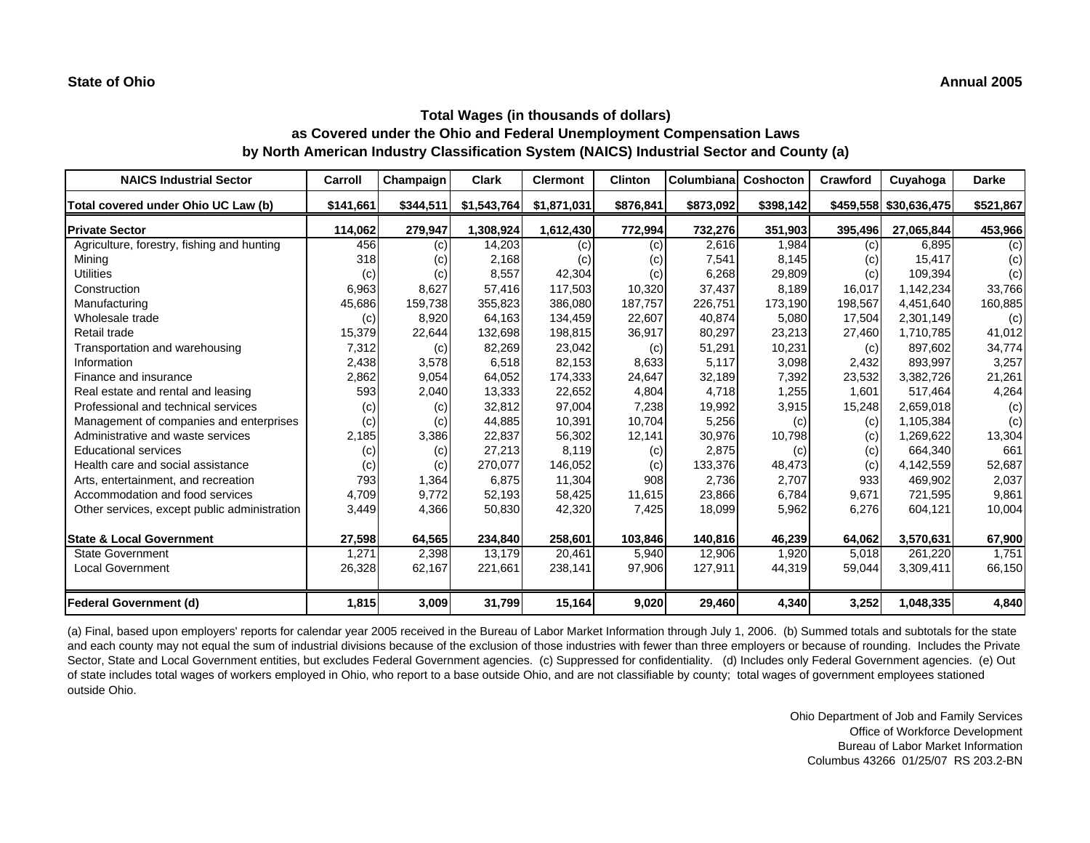| <b>NAICS Industrial Sector</b>               | Carroll   | Champaign | <b>Clark</b> | <b>Clermont</b> | <b>Clinton</b> | Columbiana | Coshocton | Crawford | Cuyahoga               | <b>Darke</b> |
|----------------------------------------------|-----------|-----------|--------------|-----------------|----------------|------------|-----------|----------|------------------------|--------------|
| Total covered under Ohio UC Law (b)          | \$141,661 | \$344,511 | \$1,543,764  | \$1,871,031     | \$876,841      | \$873,092  | \$398,142 |          | \$459,558 \$30,636,475 | \$521,867    |
| <b>Private Sector</b>                        | 114,062   | 279,947   | 1,308,924    | 1,612,430       | 772,994        | 732,276    | 351,903   | 395,496  | 27,065,844             | 453,966      |
| Agriculture, forestry, fishing and hunting   | 456       | (c)       | 14,203       | (c)             | (c)            | 2,616      | 1,984     | (c)      | 6,895                  | (c)          |
| Mining                                       | 318       | (c)       | 2,168        | (c)             | (c)            | 7,541      | 8,145     | (c)      | 15,417                 | (c)          |
| <b>Utilities</b>                             | (c)       | (c)       | 8,557        | 42,304          | (c)            | 6,268      | 29,809    | (c)      | 109,394                | (c)          |
| Construction                                 | 6,963     | 8,627     | 57,416       | 117,503         | 10,320         | 37,437     | 8,189     | 16,017   | 1,142,234              | 33,766       |
| Manufacturing                                | 45,686    | 159,738   | 355,823      | 386,080         | 187,757        | 226,751    | 173,190   | 198,567  | 4,451,640              | 160,885      |
| Wholesale trade                              | (c)       | 8,920     | 64,163       | 134,459         | 22,607         | 40,874     | 5,080     | 17,504   | 2,301,149              | (c)          |
| Retail trade                                 | 15,379    | 22,644    | 132,698      | 198,815         | 36,917         | 80,297     | 23,213    | 27,460   | 1,710,785              | 41,012       |
| Transportation and warehousing               | 7,312     | (c)       | 82,269       | 23,042          | (c)            | 51,291     | 10,231    | (c)      | 897,602                | 34,774       |
| Information                                  | 2,438     | 3,578     | 6,518        | 82,153          | 8,633          | 5,117      | 3,098     | 2,432    | 893,997                | 3,257        |
| Finance and insurance                        | 2,862     | 9,054     | 64,052       | 174,333         | 24,647         | 32,189     | 7,392     | 23,532   | 3,382,726              | 21,261       |
| Real estate and rental and leasing           | 593       | 2,040     | 13,333       | 22,652          | 4,804          | 4,718      | 1,255     | 1,601    | 517,464                | 4,264        |
| Professional and technical services          | (c)       | (c)       | 32,812       | 97,004          | 7,238          | 19,992     | 3,915     | 15,248   | 2,659,018              | (c)          |
| Management of companies and enterprises      | (c)       | (c)       | 44,885       | 10,391          | 10,704         | 5,256      | (c)       | (c)      | 1,105,384              | (c)          |
| Administrative and waste services            | 2,185     | 3,386     | 22,837       | 56,302          | 12,141         | 30,976     | 10,798    | (c)      | 1,269,622              | 13,304       |
| <b>Educational services</b>                  | (c)       | (c)       | 27,213       | 8,119           | (c)            | 2,875      | (c)       | (c)      | 664,340                | 661          |
| Health care and social assistance            | (c)       | (c)       | 270,077      | 146,052         | (c)            | 133,376    | 48,473    | (c)      | 4,142,559              | 52,687       |
| Arts, entertainment, and recreation          | 793       | 1,364     | 6,875        | 11,304          | 908            | 2,736      | 2,707     | 933      | 469,902                | 2,037        |
| Accommodation and food services              | 4,709     | 9,772     | 52,193       | 58,425          | 11,615         | 23,866     | 6,784     | 9,671    | 721,595                | 9,861        |
| Other services, except public administration | 3,449     | 4,366     | 50,830       | 42,320          | 7,425          | 18,099     | 5,962     | 6,276    | 604,121                | 10,004       |
| <b>State &amp; Local Government</b>          | 27,598    | 64,565    | 234,840      | 258,601         | 103,846        | 140,816    | 46,239    | 64,062   | 3,570,631              | 67,900       |
| <b>State Government</b>                      | 1,271     | 2,398     | 13.179       | 20,461          | 5,940          | 12,906     | 1,920     | 5.018    | 261,220                | 1.751        |
| <b>Local Government</b>                      | 26,328    | 62,167    | 221,661      | 238,141         | 97,906         | 127,911    | 44,319    | 59,044   | 3,309,411              | 66,150       |
| <b>Federal Government (d)</b>                | 1,815     | 3,009     | 31,799       | 15,164          | 9,020          | 29,460     | 4,340     | 3,252    | 1,048,335              | 4,840        |

(a) Final, based upon employers' reports for calendar year 2005 received in the Bureau of Labor Market Information through July 1, 2006. (b) Summed totals and subtotals for the state and each county may not equal the sum of industrial divisions because of the exclusion of those industries with fewer than three employers or because of rounding. Includes the Private Sector, State and Local Government entities, but excludes Federal Government agencies. (c) Suppressed for confidentiality. (d) Includes only Federal Government agencies. (e) Out of state includes total wages of workers employed in Ohio, who report to a base outside Ohio, and are not classifiable by county; total wages of government employees stationed outside Ohio.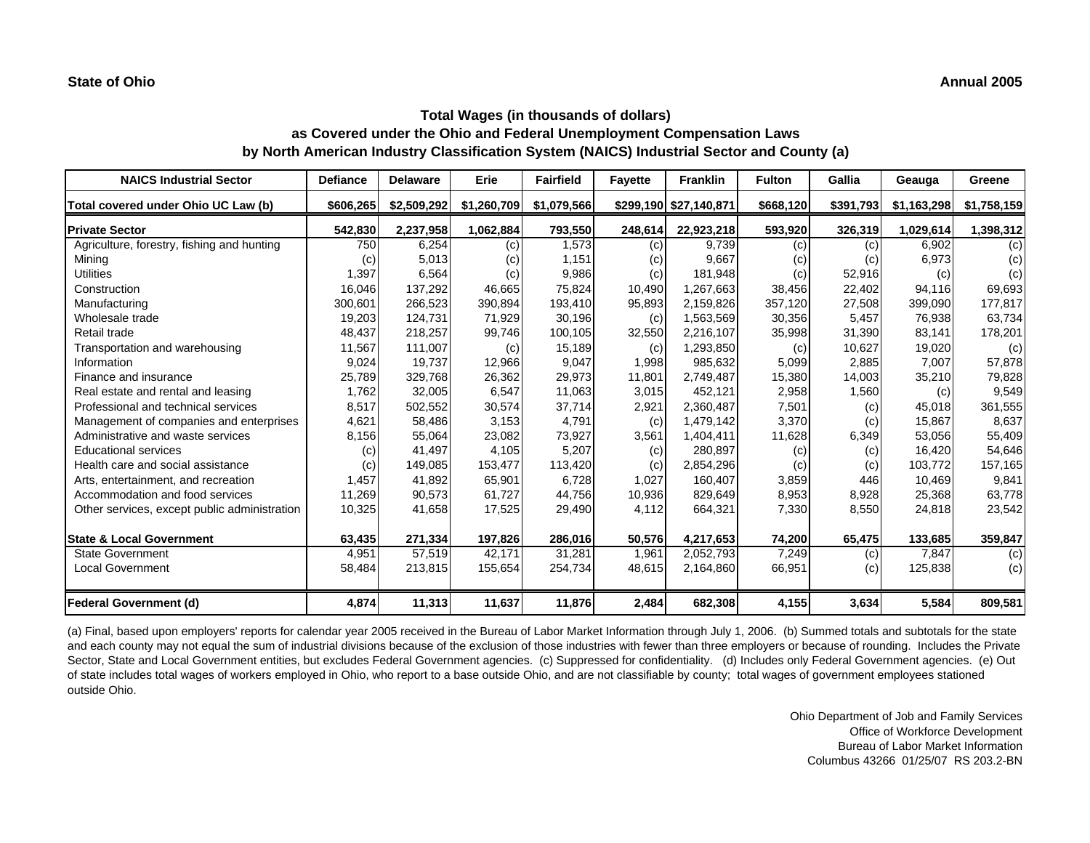| <b>NAICS Industrial Sector</b>               | <b>Defiance</b> | <b>Delaware</b> | Erie        | <b>Fairfield</b> | <b>Fayette</b> | <b>Franklin</b>        | <b>Fulton</b> | Gallia    | Geauga      | Greene      |
|----------------------------------------------|-----------------|-----------------|-------------|------------------|----------------|------------------------|---------------|-----------|-------------|-------------|
| Total covered under Ohio UC Law (b)          | \$606,265       | \$2,509,292     | \$1,260,709 | \$1,079,566      |                | \$299,190 \$27,140,871 | \$668,120     | \$391,793 | \$1,163,298 | \$1,758,159 |
| <b>Private Sector</b>                        | 542,830         | 2,237,958       | 1,062,884   | 793,550          | 248,614        | 22,923,218             | 593,920       | 326,319   | 1,029,614   | 1,398,312   |
| Agriculture, forestry, fishing and hunting   | 750             | 6,254           | (c)         | 1,573            | (c)            | 9,739                  | (c)           | (c)       | 6,902       | (c)         |
| Mining                                       | (C)             | 5,013           | (c)         | 1,151            | (c)            | 9,667                  | (c)           | (c)       | 6,973       | (c)         |
| <b>Utilities</b>                             | 1,397           | 6,564           | (c)         | 9,986            | (c)            | 181,948                | (c)           | 52,916    | (c)         | (c)         |
| Construction                                 | 16,046          | 137,292         | 46,665      | 75,824           | 10,490         | 1,267,663              | 38,456        | 22,402    | 94,116      | 69,693      |
| Manufacturing                                | 300,601         | 266,523         | 390,894     | 193,410          | 95,893         | 2,159,826              | 357,120       | 27,508    | 399,090     | 177,817     |
| Wholesale trade                              | 19,203          | 124,731         | 71,929      | 30,196           | (c)            | 1,563,569              | 30,356        | 5,457     | 76,938      | 63,734      |
| Retail trade                                 | 48,437          | 218,257         | 99,746      | 100,105          | 32,550         | 2,216,107              | 35,998        | 31,390    | 83,141      | 178,201     |
| Transportation and warehousing               | 11,567          | 111,007         | (c)         | 15,189           | (c)            | 1,293,850              | (c)           | 10,627    | 19,020      | (c)         |
| Information                                  | 9,024           | 19,737          | 12,966      | 9,047            | 1,998          | 985,632                | 5,099         | 2,885     | 7,007       | 57,878      |
| Finance and insurance                        | 25,789          | 329,768         | 26,362      | 29,973           | 11,801         | 2,749,487              | 15,380        | 14,003    | 35,210      | 79,828      |
| Real estate and rental and leasing           | 1,762           | 32,005          | 6,547       | 11,063           | 3,015          | 452,121                | 2,958         | 1,560     | (c)         | 9,549       |
| Professional and technical services          | 8,517           | 502,552         | 30,574      | 37,714           | 2,921          | 2,360,487              | 7,501         | (c)       | 45,018      | 361,555     |
| Management of companies and enterprises      | 4,621           | 58,486          | 3,153       | 4,791            | (c)            | 1,479,142              | 3,370         | (c)       | 15,867      | 8,637       |
| Administrative and waste services            | 8,156           | 55,064          | 23,082      | 73,927           | 3,561          | 1,404,411              | 11,628        | 6,349     | 53,056      | 55,409      |
| <b>Educational services</b>                  | (c)             | 41,497          | 4,105       | 5,207            | (c)            | 280,897                | (c)           | (c)       | 16,420      | 54,646      |
| Health care and social assistance            | (c)             | 149,085         | 153,477     | 113,420          | (c)            | 2,854,296              | (c)           | (c)       | 103,772     | 157,165     |
| Arts, entertainment, and recreation          | 1,457           | 41,892          | 65,901      | 6,728            | 1,027          | 160,407                | 3,859         | 446       | 10,469      | 9,841       |
| Accommodation and food services              | 11,269          | 90,573          | 61,727      | 44,756           | 10,936         | 829,649                | 8,953         | 8,928     | 25,368      | 63,778      |
| Other services, except public administration | 10,325          | 41,658          | 17,525      | 29,490           | 4,112          | 664,321                | 7,330         | 8,550     | 24,818      | 23,542      |
| <b>State &amp; Local Government</b>          | 63,435          | 271,334         | 197,826     | 286,016          | 50,576         | 4,217,653              | 74,200        | 65,475    | 133,685     | 359,847     |
| <b>State Government</b>                      | 4,951           | 57,519          | 42.171      | 31.281           | 1,961          | 2,052,793              | 7,249         | (c)       | 7,847       | (c)         |
| <b>Local Government</b>                      | 58,484          | 213,815         | 155,654     | 254,734          | 48,615         | 2,164,860              | 66,951        | (c)       | 125,838     | (c)         |
| <b>Federal Government (d)</b>                | 4,874           | 11,313          | 11,637      | 11,876           | 2,484          | 682,308                | 4,155         | 3,634     | 5,584       | 809,581     |

(a) Final, based upon employers' reports for calendar year 2005 received in the Bureau of Labor Market Information through July 1, 2006. (b) Summed totals and subtotals for the state and each county may not equal the sum of industrial divisions because of the exclusion of those industries with fewer than three employers or because of rounding. Includes the Private Sector, State and Local Government entities, but excludes Federal Government agencies. (c) Suppressed for confidentiality. (d) Includes only Federal Government agencies. (e) Out of state includes total wages of workers employed in Ohio, who report to a base outside Ohio, and are not classifiable by county; total wages of government employees stationed outside Ohio.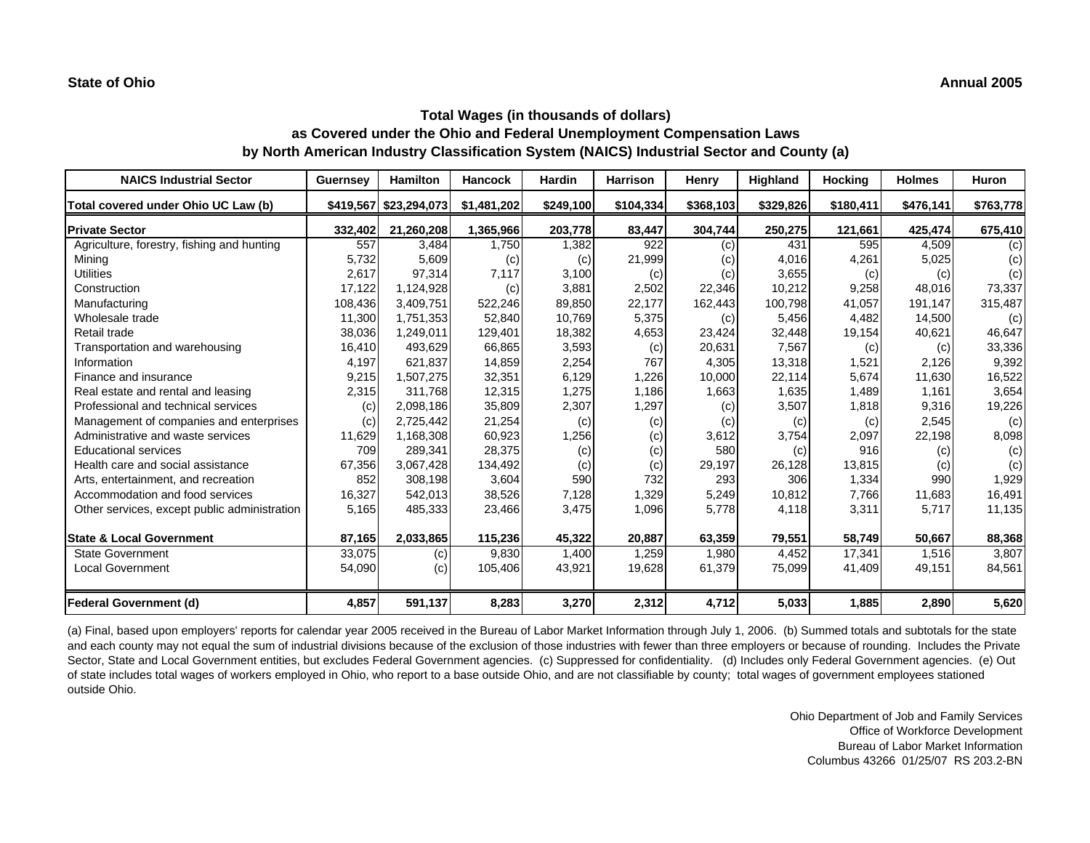| <b>NAICS Industrial Sector</b>               | <b>Guernsey</b> | <b>Hamilton</b>        | <b>Hancock</b> | <b>Hardin</b> | <b>Harrison</b> | Henry     | Highland  | <b>Hocking</b> | <b>Holmes</b> | <b>Huron</b> |
|----------------------------------------------|-----------------|------------------------|----------------|---------------|-----------------|-----------|-----------|----------------|---------------|--------------|
| Total covered under Ohio UC Law (b)          |                 | \$419,567 \$23,294,073 | \$1,481,202    | \$249,100     | \$104,334       | \$368,103 | \$329,826 | \$180,411      | \$476,141     | \$763,778    |
| <b>Private Sector</b>                        | 332,402         | 21,260,208             | 1,365,966      | 203,778       | 83,447          | 304,744   | 250,275   | 121,661        | 425,474       | 675,410      |
| Agriculture, forestry, fishing and hunting   | 557             | 3.484                  | 1,750          | 1,382         | 922             | (c)       | 431       | 595            | 4,509         | (c)          |
| Mining                                       | 5,732           | 5,609                  | (c)            | (c)           | 21,999          | (c)       | 4.016     | 4,261          | 5,025         | (c)          |
| <b>Utilities</b>                             | 2,617           | 97,314                 | 7,117          | 3,100         | (c)             | (c)       | 3,655     | (c)            | (c)           | (c)          |
| Construction                                 | 17,122          | 1,124,928              | (c)            | 3,881         | 2,502           | 22,346    | 10,212    | 9,258          | 48,016        | 73,337       |
| Manufacturing                                | 108,436         | 3,409,751              | 522,246        | 89,850        | 22,177          | 162,443   | 100,798   | 41,057         | 191,147       | 315,487      |
| Wholesale trade                              | 11,300          | 1,751,353              | 52,840         | 10,769        | 5,375           | (c)       | 5,456     | 4,482          | 14,500        | (c)          |
| Retail trade                                 | 38,036          | 1,249,011              | 129,401        | 18,382        | 4,653           | 23,424    | 32,448    | 19,154         | 40,621        | 46,647       |
| Transportation and warehousing               | 16,410          | 493.629                | 66,865         | 3,593         | (c)             | 20,631    | 7,567     | (c)            | (c)           | 33,336       |
| Information                                  | 4,197           | 621,837                | 14,859         | 2,254         | 767             | 4,305     | 13,318    | 1,521          | 2,126         | 9,392        |
| Finance and insurance                        | 9,215           | 1,507,275              | 32,351         | 6,129         | 1,226           | 10,000    | 22,114    | 5,674          | 11,630        | 16,522       |
| Real estate and rental and leasing           | 2,315           | 311,768                | 12,315         | 1,275         | 1,186           | 1,663     | 1,635     | 1,489          | 1,161         | 3,654        |
| Professional and technical services          | (c)             | 2,098,186              | 35,809         | 2,307         | 1,297           | (c)       | 3,507     | 1,818          | 9,316         | 19,226       |
| Management of companies and enterprises      | (c)             | 2,725,442              | 21,254         | (c)           | (c)             | (c)       | (c)       | (c)            | 2,545         | (c)          |
| Administrative and waste services            | 11,629          | 1,168,308              | 60,923         | 1,256         | (c)             | 3,612     | 3,754     | 2,097          | 22,198        | 8,098        |
| <b>Educational services</b>                  | 709             | 289,341                | 28,375         | (c)           | (c)             | 580       | (c)       | 916            | (c)           | (c)          |
| Health care and social assistance            | 67,356          | 3,067,428              | 134,492        | (c)           | (c)             | 29,197    | 26,128    | 13,815         | (c)           | (c)          |
| Arts, entertainment, and recreation          | 852             | 308.198                | 3,604          | 590           | 732             | 293       | 306       | 1,334          | 990           | 1,929        |
| Accommodation and food services              | 16,327          | 542,013                | 38,526         | 7,128         | 1,329           | 5,249     | 10,812    | 7,766          | 11,683        | 16,491       |
| Other services, except public administration | 5,165           | 485,333                | 23,466         | 3,475         | 1,096           | 5,778     | 4,118     | 3,311          | 5,717         | 11,135       |
| <b>State &amp; Local Government</b>          | 87,165          | 2,033,865              | 115,236        | 45,322        | 20,887          | 63,359    | 79,551    | 58,749         | 50,667        | 88,368       |
| <b>State Government</b>                      | 33,075          | (c)                    | 9,830          | 1,400         | 1,259           | 1,980     | 4,452     | 17,341         | 1,516         | 3,807        |
| <b>Local Government</b>                      | 54,090          | (c)                    | 105,406        | 43,921        | 19,628          | 61,379    | 75,099    | 41,409         | 49,151        | 84,561       |
| Federal Government (d)                       | 4,857           | 591,137                | 8,283          | 3,270         | 2,312           | 4,712     | 5,033     | 1,885          | 2,890         | 5,620        |

(a) Final, based upon employers' reports for calendar year 2005 received in the Bureau of Labor Market Information through July 1, 2006. (b) Summed totals and subtotals for the state and each county may not equal the sum of industrial divisions because of the exclusion of those industries with fewer than three employers or because of rounding. Includes the Private Sector, State and Local Government entities, but excludes Federal Government agencies. (c) Suppressed for confidentiality. (d) Includes only Federal Government agencies. (e) Out of state includes total wages of workers employed in Ohio, who report to a base outside Ohio, and are not classifiable by county; total wages of government employees stationed outside Ohio.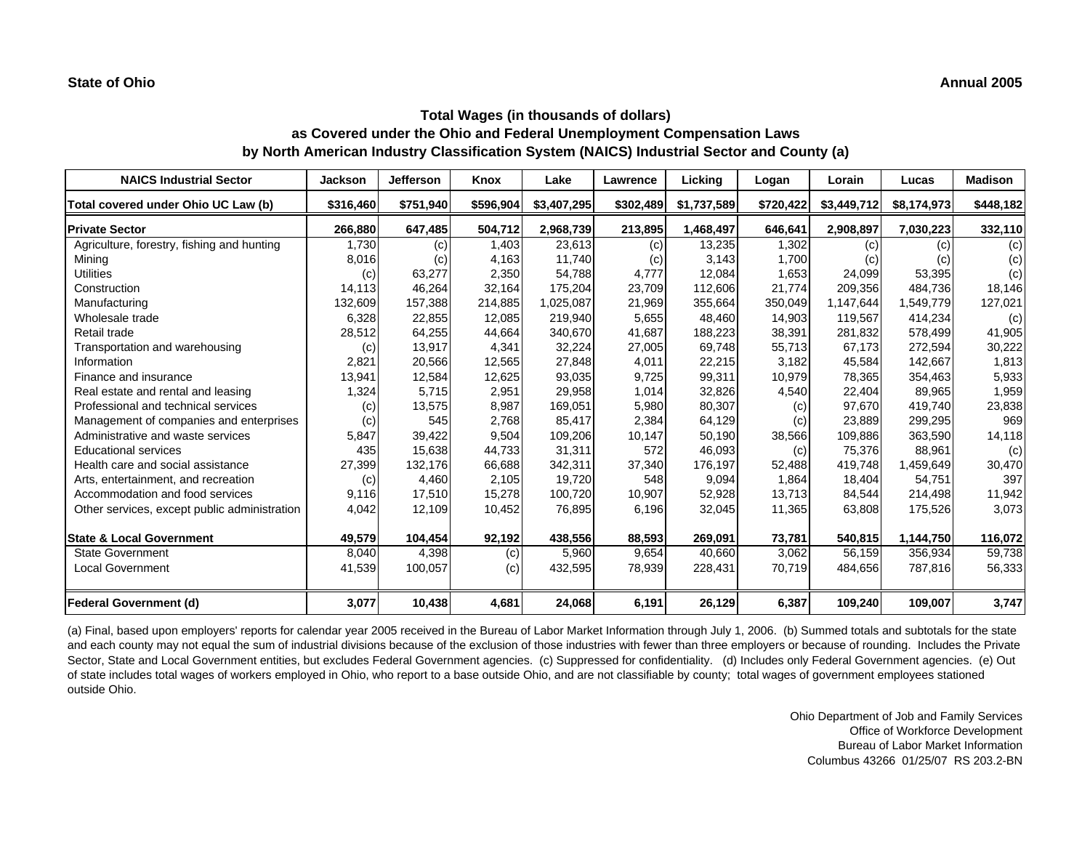| <b>NAICS Industrial Sector</b>               | Jackson   | <b>Jefferson</b> | Knox      | Lake        | <b>Lawrence</b> | Licking     | Logan     | Lorain      | Lucas       | <b>Madison</b> |
|----------------------------------------------|-----------|------------------|-----------|-------------|-----------------|-------------|-----------|-------------|-------------|----------------|
| Total covered under Ohio UC Law (b)          | \$316,460 | \$751,940        | \$596,904 | \$3,407,295 | \$302,489       | \$1,737,589 | \$720,422 | \$3,449,712 | \$8,174,973 | \$448,182      |
| <b>Private Sector</b>                        | 266,880   | 647,485          | 504,712   | 2,968,739   | 213,895         | 1,468,497   | 646,641   | 2,908,897   | 7,030,223   | 332,110        |
| Agriculture, forestry, fishing and hunting   | 1,730     | (c)              | 1,403     | 23,613      | (c)             | 13,235      | 1,302     | (c)         | (c)         | (c)            |
| Mining                                       | 8,016     | (c)              | 4,163     | 11,740      | (c)             | 3,143       | 1,700     | (c)         | (c)         | (c)            |
| <b>Utilities</b>                             | (c)       | 63,277           | 2,350     | 54,788      | 4,777           | 12,084      | 1,653     | 24,099      | 53,395      | (c)            |
| Construction                                 | 14,113    | 46,264           | 32,164    | 175,204     | 23,709          | 112,606     | 21,774    | 209,356     | 484,736     | 18,146         |
| Manufacturing                                | 132,609   | 157,388          | 214,885   | 1,025,087   | 21,969          | 355,664     | 350,049   | 1,147,644   | 1,549,779   | 127,021        |
| Wholesale trade                              | 6,328     | 22,855           | 12,085    | 219,940     | 5,655           | 48,460      | 14,903    | 119,567     | 414,234     | (c)            |
| Retail trade                                 | 28,512    | 64,255           | 44,664    | 340,670     | 41,687          | 188,223     | 38,391    | 281,832     | 578,499     | 41,905         |
| Transportation and warehousing               | (c)       | 13,917           | 4,341     | 32,224      | 27,005          | 69,748      | 55,713    | 67,173      | 272,594     | 30,222         |
| Information                                  | 2,821     | 20,566           | 12,565    | 27,848      | 4,011           | 22,215      | 3,182     | 45,584      | 142,667     | 1,813          |
| Finance and insurance                        | 13,941    | 12,584           | 12,625    | 93,035      | 9,725           | 99,311      | 10,979    | 78,365      | 354,463     | 5,933          |
| Real estate and rental and leasing           | 1,324     | 5,715            | 2,951     | 29,958      | 1,014           | 32,826      | 4,540     | 22,404      | 89,965      | 1,959          |
| Professional and technical services          | (c)       | 13,575           | 8,987     | 169,051     | 5,980           | 80,307      | (c)       | 97,670      | 419,740     | 23,838         |
| Management of companies and enterprises      | (c)       | 545              | 2,768     | 85,417      | 2,384           | 64,129      | (c)       | 23,889      | 299,295     | 969            |
| Administrative and waste services            | 5,847     | 39,422           | 9,504     | 109,206     | 10,147          | 50,190      | 38,566    | 109,886     | 363,590     | 14,118         |
| <b>Educational services</b>                  | 435       | 15,638           | 44,733    | 31,311      | 572             | 46,093      | (c)       | 75,376      | 88,961      | (c)            |
| Health care and social assistance            | 27,399    | 132,176          | 66,688    | 342,311     | 37,340          | 176,197     | 52,488    | 419,748     | 1,459,649   | 30,470         |
| Arts, entertainment, and recreation          | (c)       | 4,460            | 2,105     | 19,720      | 548             | 9,094       | 1,864     | 18,404      | 54,751      | 397            |
| Accommodation and food services              | 9,116     | 17,510           | 15,278    | 100,720     | 10,907          | 52,928      | 13,713    | 84,544      | 214,498     | 11,942         |
| Other services, except public administration | 4,042     | 12,109           | 10,452    | 76,895      | 6,196           | 32,045      | 11,365    | 63,808      | 175,526     | 3,073          |
| <b>State &amp; Local Government</b>          | 49,579    | 104,454          | 92,192    | 438,556     | 88,593          | 269,091     | 73,781    | 540,815     | 1,144,750   | 116,072        |
| <b>State Government</b>                      | 8,040     | 4,398            | (c)       | 5,960       | 9,654           | 40,660      | 3,062     | 56,159      | 356,934     | 59,738         |
| <b>Local Government</b>                      | 41,539    | 100,057          | (c)       | 432,595     | 78,939          | 228,431     | 70,719    | 484,656     | 787,816     | 56,333         |
| <b>Federal Government (d)</b>                | 3,077     | 10,438           | 4,681     | 24,068      | 6,191           | 26,129      | 6,387     | 109,240     | 109,007     | 3,747          |

(a) Final, based upon employers' reports for calendar year 2005 received in the Bureau of Labor Market Information through July 1, 2006. (b) Summed totals and subtotals for the state and each county may not equal the sum of industrial divisions because of the exclusion of those industries with fewer than three employers or because of rounding. Includes the Private Sector, State and Local Government entities, but excludes Federal Government agencies. (c) Suppressed for confidentiality. (d) Includes only Federal Government agencies. (e) Out of state includes total wages of workers employed in Ohio, who report to a base outside Ohio, and are not classifiable by county; total wages of government employees stationed outside Ohio.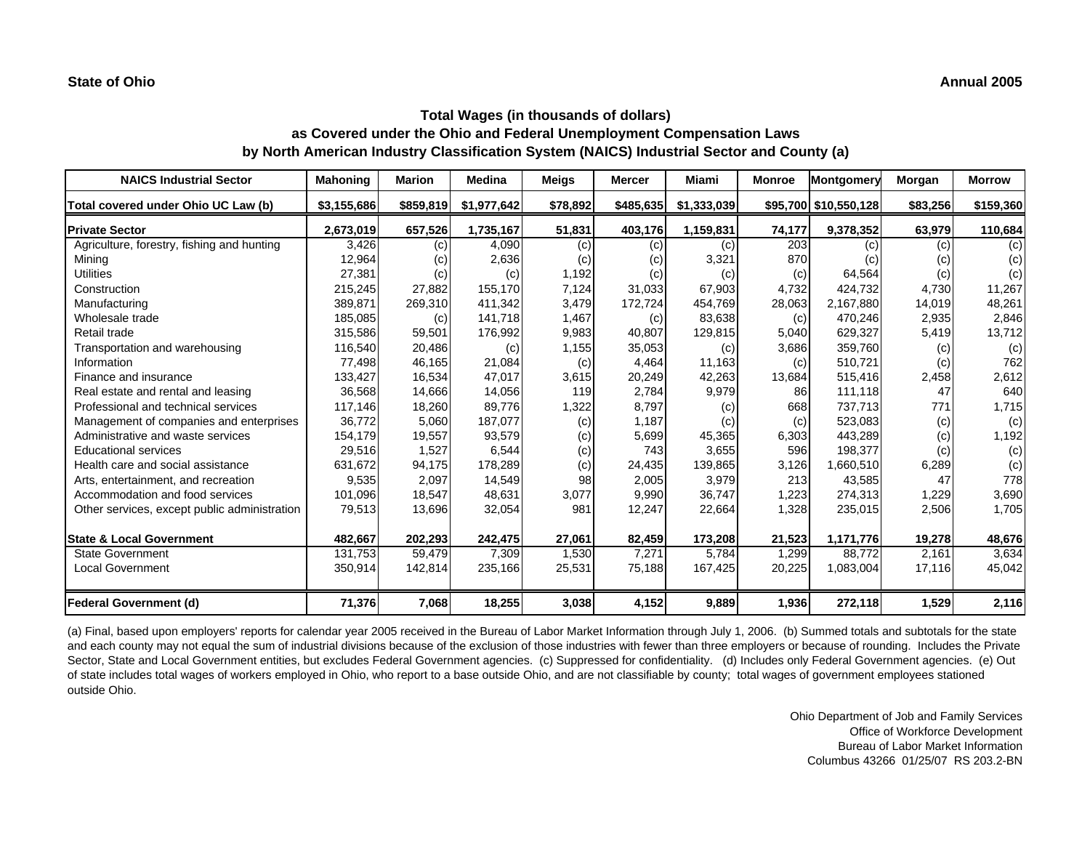| <b>NAICS Industrial Sector</b>               | <b>Mahoning</b> | <b>Marion</b> | <b>Medina</b> | <b>Meigs</b> | <b>Mercer</b> | Miami             | <b>Monroe</b> | Montgomery            | Morgan   | <b>Morrow</b> |
|----------------------------------------------|-----------------|---------------|---------------|--------------|---------------|-------------------|---------------|-----------------------|----------|---------------|
| Total covered under Ohio UC Law (b)          | \$3,155,686     | \$859,819     | \$1,977,642   | \$78,892     | \$485,635     | \$1,333,039       |               | \$95,700 \$10,550,128 | \$83,256 | \$159,360     |
| <b>Private Sector</b>                        | 2,673,019       | 657,526       | 1,735,167     | 51,831       | 403,176       | 1,159,831         | 74,177        | 9,378,352             | 63,979   | 110,684       |
| Agriculture, forestry, fishing and hunting   | 3,426           | (c)           | 4,090         | (c)          | (c)           | (c)               | 203           | (c)                   | (c)      | (c)           |
| Mining                                       | 12,964          | (c)           | 2,636         | (c)          | (c)           | 3,321             | 870           | (c)                   | (c)      | (c)           |
| <b>Utilities</b>                             | 27,381          | (c)           | (c)           | 1,192        | (c)           | (c)               | (c)           | 64,564                | (c)      | (c)           |
| Construction                                 | 215,245         | 27,882        | 155,170       | 7,124        | 31,033        | 67,903            | 4,732         | 424,732               | 4,730    | 11,267        |
| Manufacturing                                | 389,871         | 269,310       | 411,342       | 3,479        | 172,724       | 454,769           | 28,063        | 2,167,880             | 14,019   | 48,261        |
| Wholesale trade                              | 185,085         | (c)           | 141,718       | 1,467        | (c)           | 83,638            | (c)           | 470,246               | 2,935    | 2,846         |
| Retail trade                                 | 315,586         | 59,501        | 176,992       | 9,983        | 40,807        | 129,815           | 5,040         | 629,327               | 5,419    | 13,712        |
| Transportation and warehousing               | 116,540         | 20,486        | (c)           | 1,155        | 35,053        | (c)               | 3,686         | 359,760               | (c)      | (c)           |
| Information                                  | 77,498          | 46,165        | 21,084        | (c)          | 4,464         | 11,163            | (c)           | 510,721               | (c)      | 762           |
| Finance and insurance                        | 133,427         | 16,534        | 47,017        | 3,615        | 20,249        | 42,263            | 13,684        | 515,416               | 2,458    | 2,612         |
| Real estate and rental and leasing           | 36,568          | 14,666        | 14,056        | 119          | 2,784         | 9,979             | 86            | 111,118               | 47       | 640           |
| Professional and technical services          | 117,146         | 18,260        | 89,776        | 1,322        | 8,797         | $\left( c\right)$ | 668           | 737,713               | 771      | 1,715         |
| Management of companies and enterprises      | 36,772          | 5,060         | 187,077       | (c)          | 1,187         | (c)               | (c)           | 523,083               | (c)      | (c)           |
| Administrative and waste services            | 154,179         | 19,557        | 93,579        | (c)          | 5,699         | 45,365            | 6,303         | 443,289               | (c)      | 1,192         |
| <b>Educational services</b>                  | 29,516          | 1,527         | 6,544         | (c)          | 743           | 3,655             | 596           | 198,377               | (c)      | (c)           |
| Health care and social assistance            | 631,672         | 94,175        | 178,289       | (c)          | 24,435        | 139,865           | 3,126         | 1,660,510             | 6,289    | (c)           |
| Arts, entertainment, and recreation          | 9,535           | 2,097         | 14,549        | 98           | 2,005         | 3,979             | 213           | 43,585                | 47       | 778           |
| Accommodation and food services              | 101,096         | 18,547        | 48,631        | 3,077        | 9,990         | 36,747            | 1,223         | 274,313               | 1,229    | 3,690         |
| Other services, except public administration | 79,513          | 13,696        | 32,054        | 981          | 12,247        | 22,664            | 1,328         | 235,015               | 2,506    | 1,705         |
| <b>State &amp; Local Government</b>          | 482,667         | 202,293       | 242,475       | 27,061       | 82,459        | 173,208           | 21,523        | 1,171,776             | 19,278   | 48,676        |
| <b>State Government</b>                      | 131,753         | 59,479        | 7,309         | 1,530        | 7,271         | 5,784             | 1,299         | 88,772                | 2,161    | 3,634         |
| Local Government                             | 350,914         | 142,814       | 235,166       | 25,531       | 75,188        | 167,425           | 20,225        | 1,083,004             | 17,116   | 45,042        |
| <b>Federal Government (d)</b>                | 71,376          | 7,068         | 18,255        | 3,038        | 4,152         | 9,889             | 1,936         | 272,118               | 1,529    | 2,116         |

(a) Final, based upon employers' reports for calendar year 2005 received in the Bureau of Labor Market Information through July 1, 2006. (b) Summed totals and subtotals for the state and each county may not equal the sum of industrial divisions because of the exclusion of those industries with fewer than three employers or because of rounding. Includes the Private Sector, State and Local Government entities, but excludes Federal Government agencies. (c) Suppressed for confidentiality. (d) Includes only Federal Government agencies. (e) Out of state includes total wages of workers employed in Ohio, who report to a base outside Ohio, and are not classifiable by county; total wages of government employees stationed outside Ohio.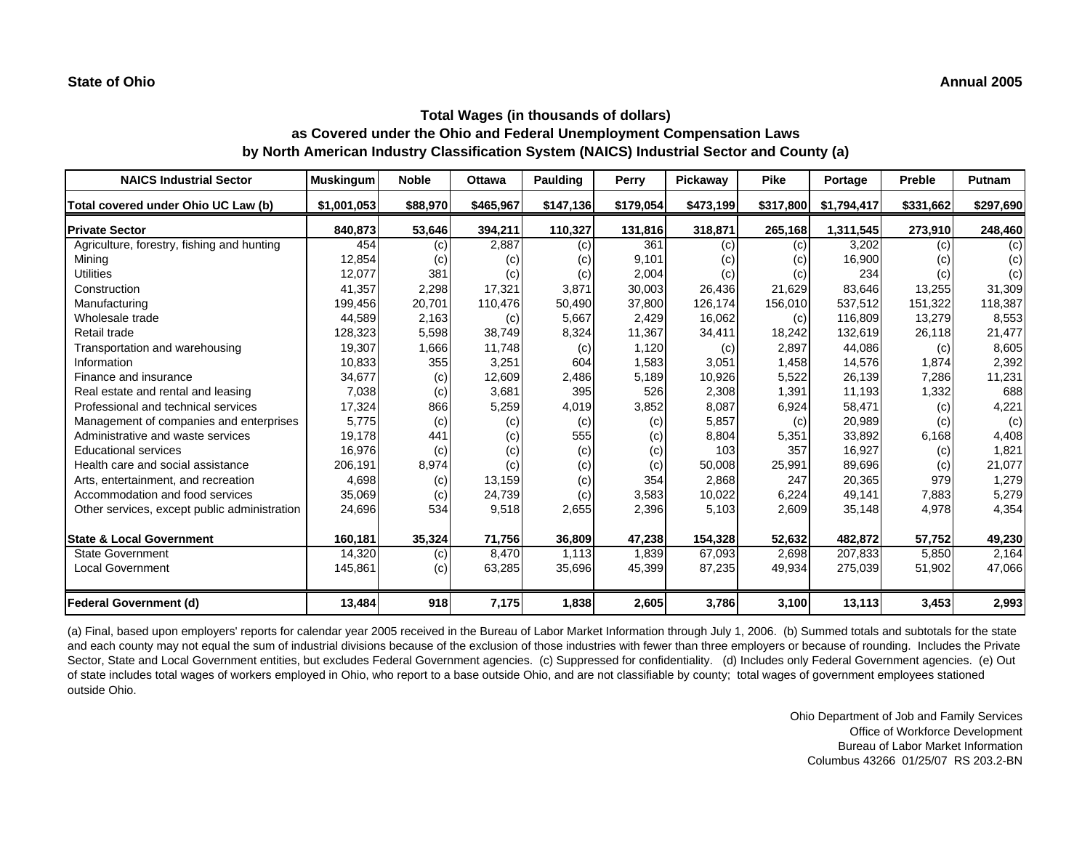| <b>NAICS Industrial Sector</b>               | <b>Muskingum</b> | <b>Noble</b> | <b>Ottawa</b> | <b>Paulding</b> | Perry     | Pickaway  | <b>Pike</b> | Portage     | Preble    | Putnam    |
|----------------------------------------------|------------------|--------------|---------------|-----------------|-----------|-----------|-------------|-------------|-----------|-----------|
| Total covered under Ohio UC Law (b)          | \$1,001,053      | \$88,970     | \$465,967     | \$147,136       | \$179,054 | \$473,199 | \$317,800   | \$1,794,417 | \$331,662 | \$297,690 |
| <b>Private Sector</b>                        | 840,873          | 53,646       | 394,211       | 110,327         | 131,816   | 318,871   | 265,168     | 1,311,545   | 273,910   | 248,460   |
| Agriculture, forestry, fishing and hunting   | 454              | (c)          | 2,887         | (c)             | 361       | (c)       | (c)         | 3,202       | (c)       | (c)       |
| Minina                                       | 12,854           | (c)          | (c)           | (c)             | 9,101     | (c)       | (c)         | 16,900      | (c)       | (c)       |
| <b>Utilities</b>                             | 12,077           | 381          | (c)           | (c)             | 2,004     | (c)       | (c)         | 234         | (c)       | (c)       |
| Construction                                 | 41,357           | 2,298        | 17,321        | 3,871           | 30,003    | 26,436    | 21,629      | 83,646      | 13,255    | 31,309    |
| Manufacturing                                | 199,456          | 20,701       | 110,476       | 50,490          | 37,800    | 126,174   | 156,010     | 537,512     | 151,322   | 118,387   |
| Wholesale trade                              | 44.589           | 2,163        | (c)           | 5,667           | 2.429     | 16,062    | (c)         | 116.809     | 13,279    | 8,553     |
| Retail trade                                 | 128,323          | 5,598        | 38,749        | 8,324           | 11,367    | 34,411    | 18,242      | 132,619     | 26,118    | 21,477    |
| Transportation and warehousing               | 19,307           | 1,666        | 11,748        | (c)             | 1,120     | (c)       | 2,897       | 44,086      | (c)       | 8,605     |
| Information                                  | 10,833           | 355          | 3,251         | 604             | 1,583     | 3,051     | 1,458       | 14,576      | 1,874     | 2,392     |
| Finance and insurance                        | 34,677           | (c)          | 12,609        | 2,486           | 5,189     | 10,926    | 5,522       | 26,139      | 7,286     | 11,231    |
| Real estate and rental and leasing           | 7,038            | (c)          | 3,681         | 395             | 526       | 2,308     | 1,391       | 11,193      | 1,332     | 688       |
| Professional and technical services          | 17,324           | 866          | 5,259         | 4,019           | 3,852     | 8,087     | 6,924       | 58,471      | (c)       | 4,221     |
| Management of companies and enterprises      | 5,775            | (c)          | (c)           | (c)             | (c)       | 5,857     | (c)         | 20,989      | (c)       | (c)       |
| Administrative and waste services            | 19,178           | 441          | (c)           | 555             | (c)       | 8,804     | 5,351       | 33,892      | 6,168     | 4,408     |
| <b>Educational services</b>                  | 16,976           | (c)          | (c)           | (c)             | (c)       | 103       | 357         | 16,927      | (c)       | 1,821     |
| Health care and social assistance            | 206,191          | 8,974        | (c)           | (c)             | (c)       | 50,008    | 25,991      | 89,696      | (c)       | 21,077    |
| Arts, entertainment, and recreation          | 4,698            | (c)          | 13,159        | (c)             | 354       | 2,868     | 247         | 20,365      | 979       | 1,279     |
| Accommodation and food services              | 35,069           | (c)          | 24,739        | (c)             | 3,583     | 10,022    | 6,224       | 49,141      | 7,883     | 5,279     |
| Other services, except public administration | 24,696           | 534          | 9,518         | 2,655           | 2,396     | 5,103     | 2,609       | 35,148      | 4,978     | 4,354     |
| <b>State &amp; Local Government</b>          | 160,181          | 35,324       | 71,756        | 36,809          | 47,238    | 154,328   | 52,632      | 482,872     | 57,752    | 49,230    |
| <b>State Government</b>                      | 14,320           | (c)          | 8,470         | 1,113           | 1,839     | 67,093    | 2,698       | 207,833     | 5,850     | 2,164     |
| <b>Local Government</b>                      | 145,861          | (c)          | 63,285        | 35,696          | 45,399    | 87,235    | 49,934      | 275,039     | 51,902    | 47,066    |
| Federal Government (d)                       | 13,484           | 918          | 7,175         | 1,838           | 2,605     | 3,786     | 3,100       | 13,113      | 3,453     | 2,993     |

(a) Final, based upon employers' reports for calendar year 2005 received in the Bureau of Labor Market Information through July 1, 2006. (b) Summed totals and subtotals for the state and each county may not equal the sum of industrial divisions because of the exclusion of those industries with fewer than three employers or because of rounding. Includes the Private Sector, State and Local Government entities, but excludes Federal Government agencies. (c) Suppressed for confidentiality. (d) Includes only Federal Government agencies. (e) Out of state includes total wages of workers employed in Ohio, who report to a base outside Ohio, and are not classifiable by county; total wages of government employees stationed outside Ohio.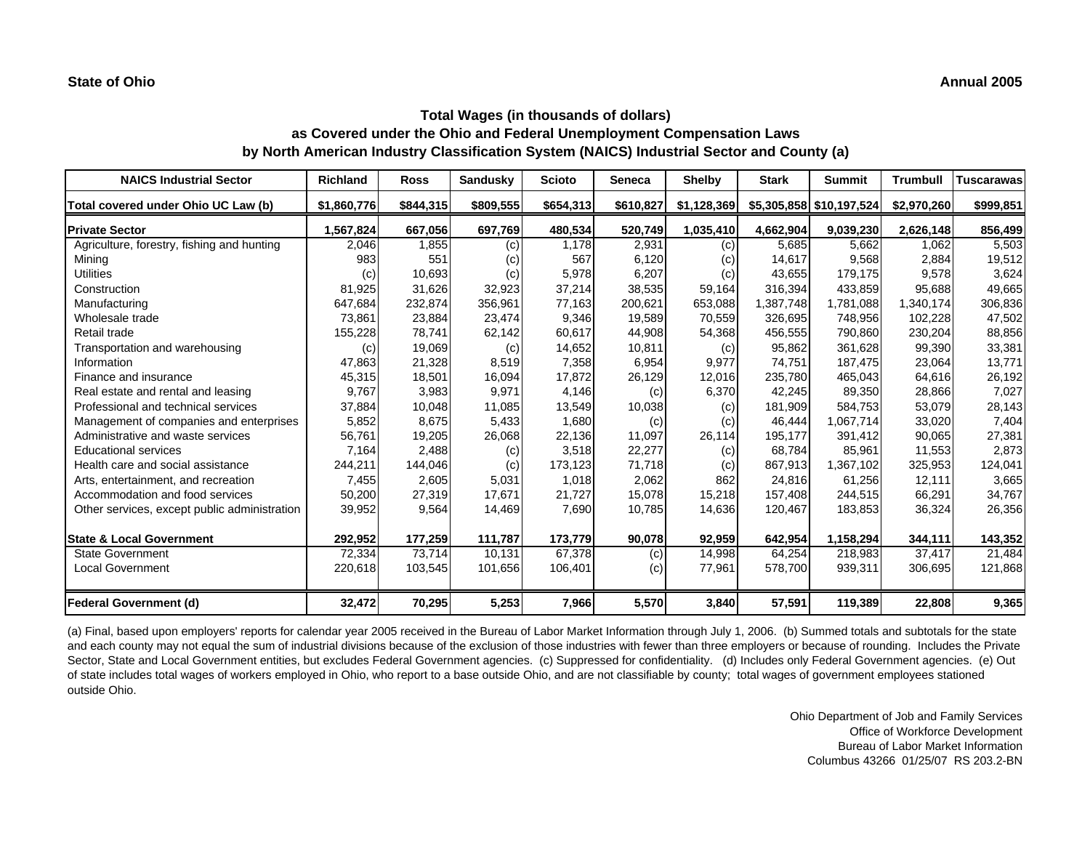| <b>NAICS Industrial Sector</b>               | <b>Richland</b> | <b>Ross</b> | Sandusky  | <b>Scioto</b> | <b>Seneca</b> | <b>Shelby</b> | <b>Stark</b> | <b>Summit</b>            | <b>Trumbull</b> | <b>Tuscarawas</b> |
|----------------------------------------------|-----------------|-------------|-----------|---------------|---------------|---------------|--------------|--------------------------|-----------------|-------------------|
| Total covered under Ohio UC Law (b)          | \$1,860,776     | \$844,315   | \$809,555 | \$654,313     | \$610,827     | \$1,128,369   |              | \$5,305,858 \$10,197,524 | \$2,970,260     | \$999,851         |
| <b>Private Sector</b>                        | 1,567,824       | 667,056     | 697,769   | 480,534       | 520,749       | 1,035,410     | 4,662,904    | 9,039,230                | 2,626,148       | 856,499           |
| Agriculture, forestry, fishing and hunting   | 2,046           | 1,855       | (c)       | 1,178         | 2,931         | (c)           | 5,685        | 5,662                    | 1,062           | 5,503             |
| Mining                                       | 983             | 551         | (c)       | 567           | 6,120         | (c)           | 14,617       | 9,568                    | 2,884           | 19,512            |
| <b>Utilities</b>                             | (c)             | 10,693      | (c)       | 5,978         | 6,207         | (c)           | 43,655       | 179,175                  | 9,578           | 3,624             |
| Construction                                 | 81,925          | 31,626      | 32,923    | 37.214        | 38,535        | 59,164        | 316,394      | 433.859                  | 95.688          | 49,665            |
| Manufacturing                                | 647,684         | 232,874     | 356,961   | 77,163        | 200,621       | 653,088       | 1,387,748    | 1,781,088                | 1,340,174       | 306,836           |
| Wholesale trade                              | 73,861          | 23,884      | 23,474    | 9,346         | 19,589        | 70,559        | 326,695      | 748,956                  | 102,228         | 47,502            |
| Retail trade                                 | 155,228         | 78,741      | 62,142    | 60,617        | 44,908        | 54,368        | 456,555      | 790,860                  | 230,204         | 88,856            |
| Transportation and warehousing               | (c)             | 19,069      | (c)       | 14,652        | 10,811        | (c)           | 95,862       | 361,628                  | 99,390          | 33,381            |
| Information                                  | 47,863          | 21,328      | 8,519     | 7,358         | 6,954         | 9,977         | 74,751       | 187,475                  | 23,064          | 13,771            |
| Finance and insurance                        | 45,315          | 18,501      | 16,094    | 17,872        | 26,129        | 12,016        | 235,780      | 465,043                  | 64,616          | 26,192            |
| Real estate and rental and leasing           | 9,767           | 3,983       | 9,971     | 4,146         | (c)           | 6,370         | 42,245       | 89,350                   | 28,866          | 7,027             |
| Professional and technical services          | 37,884          | 10,048      | 11,085    | 13,549        | 10,038        | (c)           | 181,909      | 584.753                  | 53,079          | 28,143            |
| Management of companies and enterprises      | 5,852           | 8,675       | 5,433     | 1,680         | (c)           | (c)           | 46.444       | 1.067.714                | 33,020          | 7,404             |
| Administrative and waste services            | 56,761          | 19,205      | 26,068    | 22,136        | 11,097        | 26,114        | 195,177      | 391,412                  | 90,065          | 27,381            |
| <b>Educational services</b>                  | 7,164           | 2,488       | (c)       | 3,518         | 22,277        | (c)           | 68,784       | 85,961                   | 11,553          | 2,873             |
| Health care and social assistance            | 244,211         | 144,046     | (c)       | 173,123       | 71,718        | (c)           | 867,913      | 1,367,102                | 325,953         | 124,041           |
| Arts, entertainment, and recreation          | 7,455           | 2,605       | 5,031     | 1,018         | 2,062         | 862           | 24,816       | 61,256                   | 12,111          | 3,665             |
| Accommodation and food services              | 50,200          | 27,319      | 17,671    | 21,727        | 15,078        | 15,218        | 157,408      | 244,515                  | 66,291          | 34,767            |
| Other services, except public administration | 39,952          | 9,564       | 14,469    | 7,690         | 10,785        | 14,636        | 120,467      | 183,853                  | 36,324          | 26,356            |
| <b>State &amp; Local Government</b>          | 292,952         | 177,259     | 111,787   | 173,779       | 90,078        | 92,959        | 642,954      | 1,158,294                | 344,111         | 143,352           |
| <b>State Government</b>                      | 72,334          | 73.714      | 10.131    | 67.378        | (c)           | 14,998        | 64,254       | 218.983                  | 37.417          | 21,484            |
| <b>Local Government</b>                      | 220,618         | 103,545     | 101,656   | 106,401       | (c)           | 77,961        | 578,700      | 939,311                  | 306,695         | 121,868           |
| <b>Federal Government (d)</b>                | 32,472          | 70,295      | 5,253     | 7,966         | 5,570         | 3,840         | 57,591       | 119,389                  | 22,808          | 9,365             |

(a) Final, based upon employers' reports for calendar year 2005 received in the Bureau of Labor Market Information through July 1, 2006. (b) Summed totals and subtotals for the state and each county may not equal the sum of industrial divisions because of the exclusion of those industries with fewer than three employers or because of rounding. Includes the Private Sector, State and Local Government entities, but excludes Federal Government agencies. (c) Suppressed for confidentiality. (d) Includes only Federal Government agencies. (e) Out of state includes total wages of workers employed in Ohio, who report to a base outside Ohio, and are not classifiable by county; total wages of government employees stationed outside Ohio.